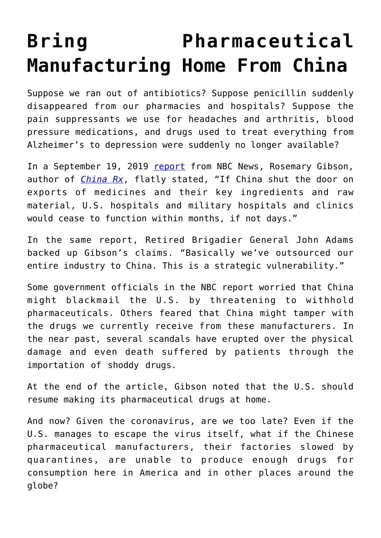## **[Bring Pharmaceutical](https://intellectualtakeout.org/2020/02/bring-pharmaceutical-manufacturing-home-from-china/) [Manufacturing Home From China](https://intellectualtakeout.org/2020/02/bring-pharmaceutical-manufacturing-home-from-china/)**

Suppose we ran out of antibiotics? Suppose penicillin suddenly disappeared from our pharmacies and hospitals? Suppose the pain suppressants we use for headaches and arthritis, blood pressure medications, and drugs used to treat everything from Alzheimer's to depression were suddenly no longer available?

In a September 19, 2019 [report](https://www.nbcnews.com/health/health-care/u-s-officials-worried-about-chinese-control-american-drug-supply-n1052376) from NBC News, Rosemary Gibson, author of *[China Rx](https://www.amazon.com/gp/product/1633883817/ref=as_li_qf_asin_il_tl?ie=UTF8&tag=intelltakeo0d-20&creative=9325&linkCode=as2&creativeASIN=1633883817&linkId=df3ba29883c370a287a0936b4d6bdab5)*, flatly stated, "If China shut the door on exports of medicines and their key ingredients and raw material, U.S. hospitals and military hospitals and clinics would cease to function within months, if not days."

In the same report, Retired Brigadier General John Adams backed up Gibson's claims. "Basically we've outsourced our entire industry to China. This is a strategic vulnerability."

Some government officials in the NBC report worried that China might blackmail the U.S. by threatening to withhold pharmaceuticals. Others feared that China might tamper with the drugs we currently receive from these manufacturers. In the near past, several scandals have erupted over the physical damage and even death suffered by patients through the importation of shoddy drugs.

At the end of the article, Gibson noted that the U.S. should resume making its pharmaceutical drugs at home.

And now? Given the coronavirus, are we too late? Even if the U.S. manages to escape the virus itself, what if the Chinese pharmaceutical manufacturers, their factories slowed by quarantines, are unable to produce enough drugs for consumption here in America and in other places around the globe?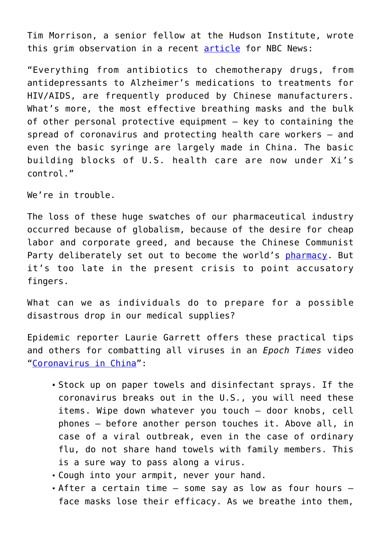Tim Morrison, a senior fellow at the Hudson Institute, wrote this grim observation in a recent [article](https://www.nbcnews.com/think/opinion/coronavirus-tests-u-s-medical-system-s-unhealthy-reliance-china-ncna1131211) for NBC News:

"Everything from antibiotics to chemotherapy drugs, from antidepressants to Alzheimer's medications to treatments for HIV/AIDS, are frequently produced by Chinese manufacturers. What's more, the most effective breathing masks and the bulk of other personal protective equipment — key to containing the spread of coronavirus and protecting health care workers — and even the basic syringe are largely made in China. The basic building blocks of U.S. health care are now under Xi's control."

We're in trouble.

The loss of these huge swatches of our pharmaceutical industry occurred because of globalism, because of the desire for cheap labor and corporate greed, and because the Chinese Communist Party deliberately set out to become the world's [pharmacy.](https://www.usnews.com/news/best-countries/articles/2018-05-08/trumps-quest-for-lower-drug-prices-may-provoke-china-trade-war-experts-warn) But it's too late in the present crisis to point accusatory fingers.

What can we as individuals do to prepare for a possible disastrous drop in our medical supplies?

Epidemic reporter Laurie Garrett offers these practical tips and others for combatting all viruses in an *Epoch Times* video "[Coronavirus in China](https://www.theepochtimes.com/coronavirus-in-china-epidemic-reporter-laurie-garrett-explains-the-tough-realities-the-possibility-of-a-global-pandemic_3238895.html)":

- Stock up on paper towels and disinfectant sprays. If the coronavirus breaks out in the U.S., you will need these items. Wipe down whatever you touch – door knobs, cell phones – before another person touches it. Above all, in case of a viral outbreak, even in the case of ordinary flu, do not share hand towels with family members. This is a sure way to pass along a virus.
- Cough into your armpit, never your hand.
- After a certain time some say as low as four hours face masks lose their efficacy. As we breathe into them,